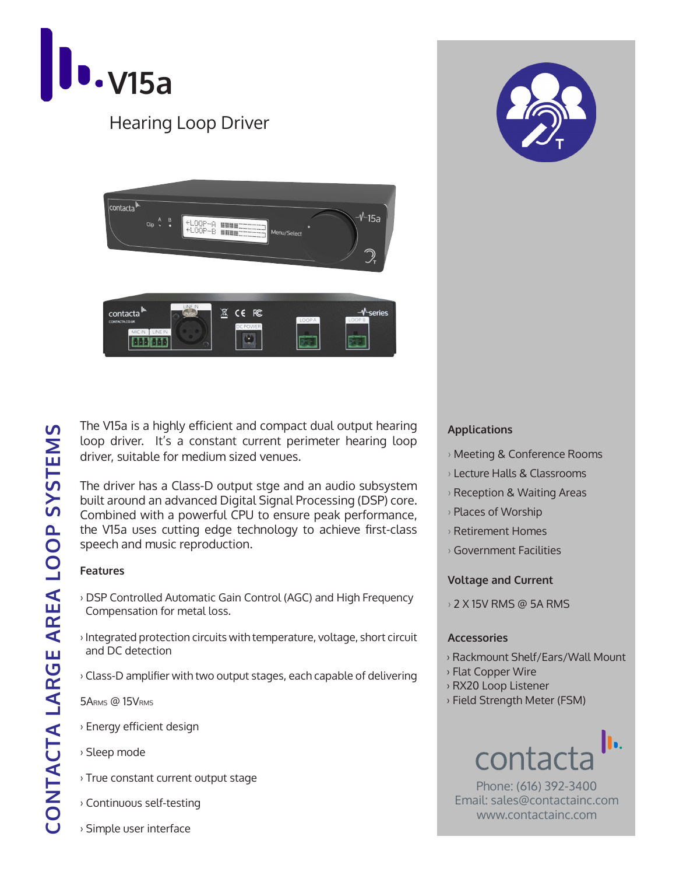





The V15a is a highly efficient and compact dual output hearing loop driver. It's a constant current perimeter hearing loop driver, suitable for medium sized venues.

The driver has a Class-D output stge and an audio subsystem built around an advanced Digital Signal Processing (DSP) core. Combined with a powerful CPU to ensure peak performance, the V15a uses cutting edge technology to achieve first-class speech and music reproduction.

#### **Features**

- › DSP Controlled Automatic Gain Control (AGC) and High Frequency Compensation for metal loss.
- › Integrated protection circuits with temperature, voltage, short circuit and DC detection
- › Class-D amplifier with two output stages, each capable of delivering

5ARMS @ 15VRMS

- › Energy efficient design
- › Sleep mode
- › True constant current output stage
- › Continuous self-testing
- › Simple user interface



- › Meeting & Conference Rooms
- › Lecture Halls & Classrooms
- › Reception & Waiting Areas
- › Places of Worship
- › Retirement Homes
- › Government Facilities

#### **Voltage and Current**

› 2 X 15V RMS @ 5A RMS

#### **Accessories**

- › Rackmount Shelf/Ears/Wall Mount
- › Flat Copper Wire
- › RX20 Loop Listener
- › Field Strength Meter (FSM)

# h. contac

Phone: (616) 392-3400 Email: sales@contactainc.com www.contactainc.com